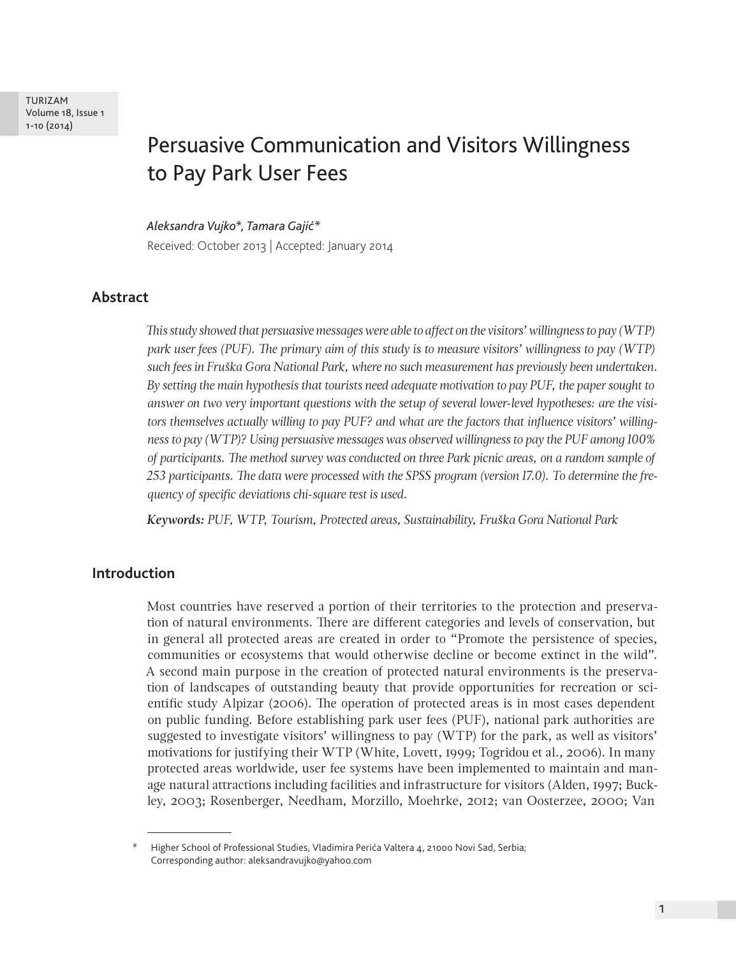TURIZAM Volume 18, Issue 1 1-10 (2014)

# Persuasive Communication and Visitors Willingness to Pay Park User Fees

*Aleksandra Vujko\*, Tamara Gajić\**  Received: October 2013 | Accepted: January 2014

# **Abstract**

*This study showed that persuasive messages were able to affect on the visitors' willingness to pay (WTP) park user fees (PUF). The primary aim of this study is to measure visitors' willingness to pay (WTP) such fees in Fruška Gora National Park, where no such measurement has previously been undertaken. By setting the main hypothesis that tourists need adequate motivation to pay PUF, the paper sought to answer on two very important questions with the setup of several lower-level hypotheses: are the visitors themselves actually willing to pay PUF? and what are the factors that influence visitors' willingness to pay (WTP)? Using persuasive messages was observed willingness to pay the PUF among 100% of participants. The method survey was conducted on three Park picnic areas, on a random sample of 253 participants. The data were processed with the SPSS program (version 17.0). To determine the frequency of specific deviations chi-square test is used.* 

*Keywords: PUF, WTP, Tourism, Protected areas, Sustainability, Fruška Gora National Park*

#### **Introduction**

Most countries have reserved a portion of their territories to the protection and preservation of natural environments. There are different categories and levels of conservation, but in general all protected areas are created in order to "Promote the persistence of species, communities or ecosystems that would otherwise decline or become extinct in the wild". A second main purpose in the creation of protected natural environments is the preservation of landscapes of outstanding beauty that provide opportunities for recreation or scientific study Alpizar (2006). The operation of protected areas is in most cases dependent on public funding. Before establishing park user fees (PUF), national park authorities are suggested to investigate visitors' willingness to pay (WTP) for the park, as well as visitors' motivations for justifying their WTP (White, Lovett, 1999; Togridou et al., 2006). In many protected areas worldwide, user fee systems have been implemented to maintain and manage natural attractions including facilities and infrastructure for visitors (Alden, 1997; Buckley, 2003; Rosenberger, Needham, Morzillo, Moehrke, 2012; van Oosterzee, 2000; Van

Higher School of Professional Studies, Vladimira Perića Valtera 4, 21000 Novi Sad, Serbia; Corresponding author: aleksandravujko@yahoo.com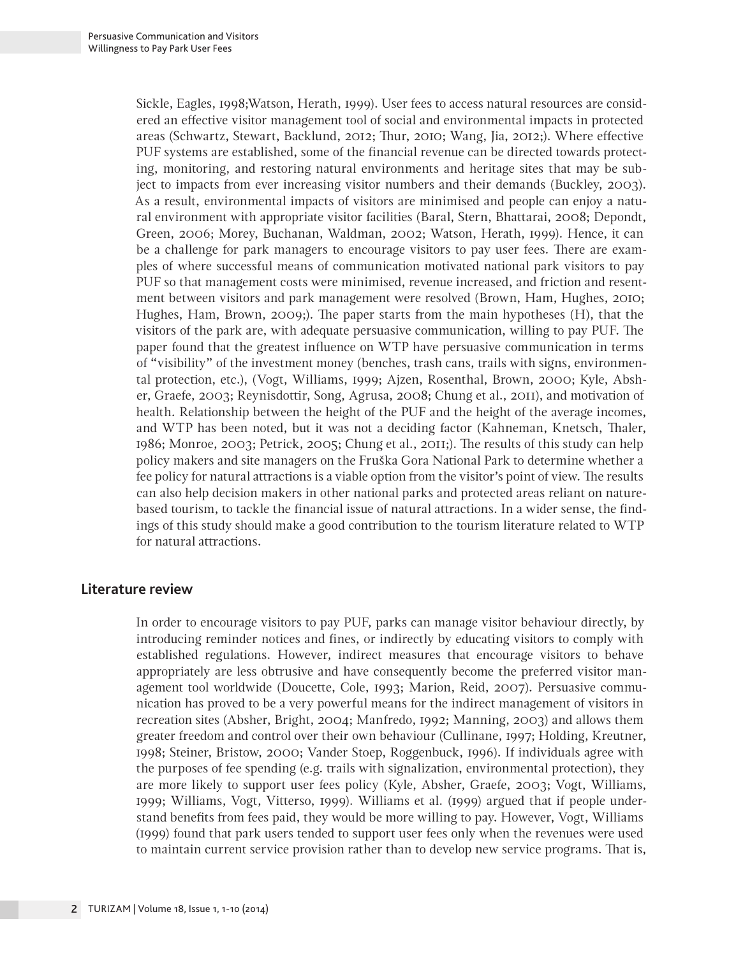Sickle, Eagles, 1998;Watson, Herath, 1999). User fees to access natural resources are considered an effective visitor management tool of social and environmental impacts in protected areas (Schwartz, Stewart, Backlund, 2012; Thur, 2010; Wang, Jia, 2012;). Where effective PUF systems are established, some of the financial revenue can be directed towards protecting, monitoring, and restoring natural environments and heritage sites that may be subject to impacts from ever increasing visitor numbers and their demands (Buckley, 2003). As a result, environmental impacts of visitors are minimised and people can enjoy a natural environment with appropriate visitor facilities (Baral, Stern, Bhattarai, 2008; Depondt, Green, 2006; Morey, Buchanan, Waldman, 2002; Watson, Herath, 1999). Hence, it can be a challenge for park managers to encourage visitors to pay user fees. There are examples of where successful means of communication motivated national park visitors to pay PUF so that management costs were minimised, revenue increased, and friction and resentment between visitors and park management were resolved (Brown, Ham, Hughes, 2010; Hughes, Ham, Brown, 2009;). The paper starts from the main hypotheses (H), that the visitors of the park are, with adequate persuasive communication, willing to pay PUF. The paper found that the greatest influence on WTP have persuasive communication in terms of "visibility" of the investment money (benches, trash cans, trails with signs, environmental protection, etc.), (Vogt, Williams, 1999; Ajzen, Rosenthal, Brown, 2000; Kyle, Absher, Graefe, 2003; Reynisdottir, Song, Agrusa, 2008; Chung et al., 2011), and motivation of health. Relationship between the height of the PUF and the height of the average incomes, and WTP has been noted, but it was not a deciding factor (Kahneman, Knetsch, Thaler, 1986; Monroe, 2003; Petrick, 2005; Chung et al., 2011;). The results of this study can help policy makers and site managers on the Fruška Gora National Park to determine whether a fee policy for natural attractions is a viable option from the visitor's point of view. The results can also help decision makers in other national parks and protected areas reliant on naturebased tourism, to tackle the financial issue of natural attractions. In a wider sense, the findings of this study should make a good contribution to the tourism literature related to WTP for natural attractions.

#### **Literature review**

In order to encourage visitors to pay PUF, parks can manage visitor behaviour directly, by introducing reminder notices and fines, or indirectly by educating visitors to comply with established regulations. However, indirect measures that encourage visitors to behave appropriately are less obtrusive and have consequently become the preferred visitor management tool worldwide (Doucette, Cole, 1993; Marion, Reid, 2007). Persuasive communication has proved to be a very powerful means for the indirect management of visitors in recreation sites (Absher, Bright, 2004; Manfredo, 1992; Manning, 2003) and allows them greater freedom and control over their own behaviour (Cullinane, 1997; Holding, Kreutner, 1998; Steiner, Bristow, 2000; Vander Stoep, Roggenbuck, 1996). If individuals agree with the purposes of fee spending (e.g. trails with signalization, environmental protection), they are more likely to support user fees policy (Kyle, Absher, Graefe, 2003; Vogt, Williams, 1999; Williams, Vogt, Vitterso, 1999). Williams et al. (1999) argued that if people understand benefits from fees paid, they would be more willing to pay. However, Vogt, Williams (1999) found that park users tended to support user fees only when the revenues were used to maintain current service provision rather than to develop new service programs. That is,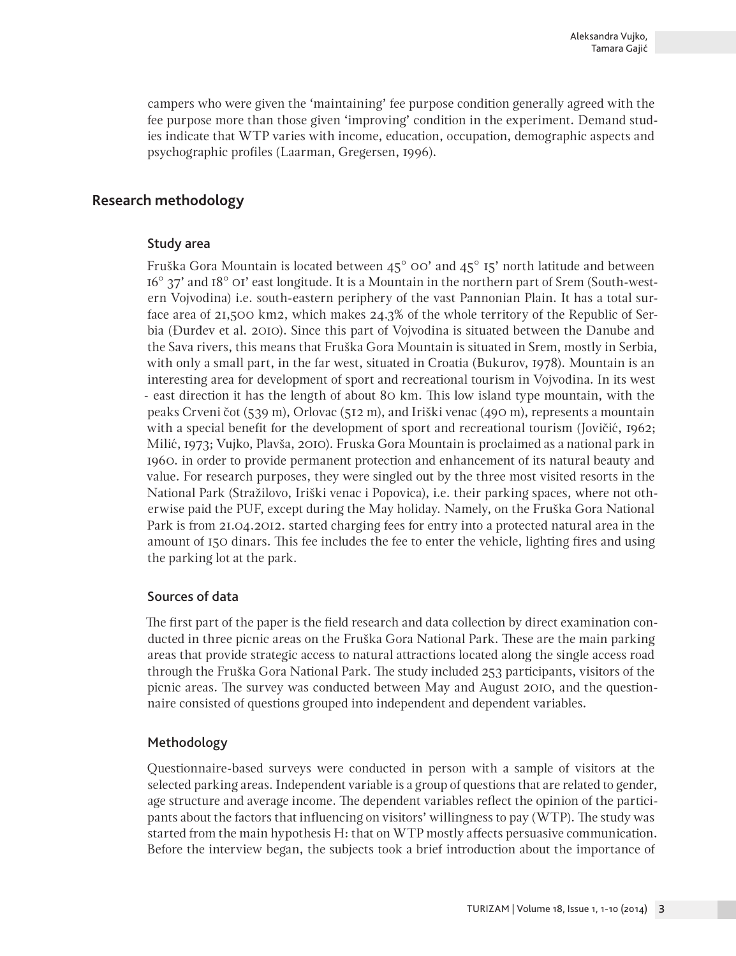campers who were given the 'maintaining' fee purpose condition generally agreed with the fee purpose more than those given 'improving' condition in the experiment. Demand studies indicate that WTP varies with income, education, occupation, demographic aspects and psychographic profiles (Laarman, Gregersen, 1996).

# **Research methodology**

#### Study area

Fruška Gora Mountain is located between  $45^{\circ}$  OO' and  $45^{\circ}$  I5' north latitude and between 16° 37' and 18° 01' east longitude. It is a Mountain in the northern part of Srem (South-western Vojvodina) i.e. south-eastern periphery of the vast Pannonian Plain. It has a total surface area of 21,500 km2, which makes 24.3% of the whole territory of the Republic of Serbia (Đurđev et al. 2010). Since this part of Vojvodina is situated between the Danube and the Sava rivers, this means that Fruška Gora Mountain is situated in Srem, mostly in Serbia, with only a small part, in the far west, situated in Croatia (Bukurov, 1978). Mountain is an interesting area for development of sport and recreational tourism in Vojvodina. In its west - east direction it has the length of about 80 km. This low island type mountain, with the peaks Crveni čot (539 m), Orlovac (512 m), and Iriški venac (490 m), represents a mountain with a special benefit for the development of sport and recreational tourism (Jovičić, 1962; Milić, 1973; Vujko, Plavša, 2010). Fruska Gora Mountain is proclaimed as a national park in 1960. in order to provide permanent protection and enhancement of its natural beauty and value. For research purposes, they were singled out by the three most visited resorts in the National Park (Stražilovo, Iriški venac i Popovica), i.e. their parking spaces, where not otherwise paid the PUF, except during the May holiday. Namely, on the Fruška Gora National Park is from 21.04.2012. started charging fees for entry into a protected natural area in the amount of 150 dinars. This fee includes the fee to enter the vehicle, lighting fires and using the parking lot at the park.

## Sources of data

The first part of the paper is the field research and data collection by direct examination conducted in three picnic areas on the Fruška Gora National Park. These are the main parking areas that provide strategic access to natural attractions located along the single access road through the Fruška Gora National Park. The study included 253 participants, visitors of the picnic areas. The survey was conducted between May and August 2010, and the questionnaire consisted of questions grouped into independent and dependent variables.

## Methodology

Questionnaire-based surveys were conducted in person with a sample of visitors at the selected parking areas. Independent variable is a group of questions that are related to gender, age structure and average income. The dependent variables reflect the opinion of the participants about the factors that influencing on visitors' willingness to pay (WTP). The study was started from the main hypothesis H: that on WTP mostly affects persuasive communication. Before the interview began, the subjects took a brief introduction about the importance of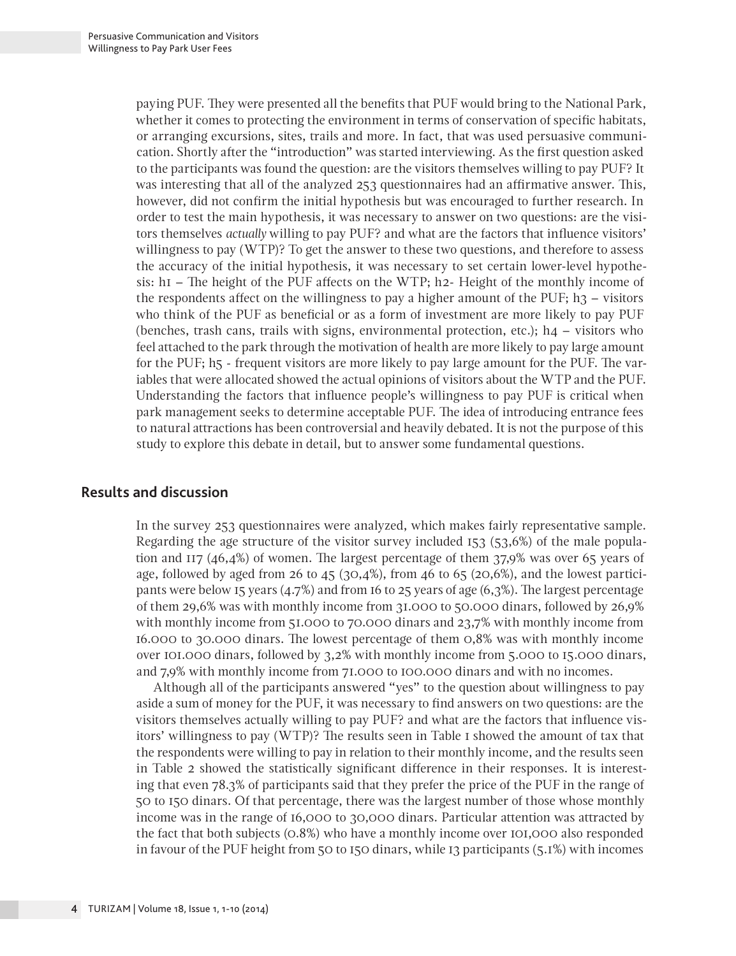paying PUF. They were presented all the benefits that PUF would bring to the National Park, whether it comes to protecting the environment in terms of conservation of specific habitats, or arranging excursions, sites, trails and more. In fact, that was used persuasive communication. Shortly after the "introduction" was started interviewing. As the first question asked to the participants was found the question: are the visitors themselves willing to pay PUF? It was interesting that all of the analyzed 253 questionnaires had an affirmative answer. This, however, did not confirm the initial hypothesis but was encouraged to further research. In order to test the main hypothesis, it was necessary to answer on two questions: are the visitors themselves *actually* willing to pay PUF? and what are the factors that influence visitors' willingness to pay (WTP)? To get the answer to these two questions, and therefore to assess the accuracy of the initial hypothesis, it was necessary to set certain lower-level hypothesis:  $hI$  – The height of the PUF affects on the WTP; h2- Height of the monthly income of the respondents affect on the willingness to pay a higher amount of the PUF;  $h_3$  – visitors who think of the PUF as beneficial or as a form of investment are more likely to pay PUF (benches, trash cans, trails with signs, environmental protection, etc.);  $h4 - \nu$  visitors who feel attached to the park through the motivation of health are more likely to pay large amount for the PUF; h5 - frequent visitors are more likely to pay large amount for the PUF. The variables that were allocated showed the actual opinions of visitors about the WTP and the PUF. Understanding the factors that influence people's willingness to pay PUF is critical when park management seeks to determine acceptable PUF. The idea of introducing entrance fees to natural attractions has been controversial and heavily debated. It is not the purpose of this study to explore this debate in detail, but to answer some fundamental questions.

# **Results and discussion**

In the survey 253 questionnaires were analyzed, which makes fairly representative sample. Regarding the age structure of the visitor survey included 153 (53,6%) of the male population and 117 (46,4%) of women. The largest percentage of them 37,9% was over 65 years of age, followed by aged from 26 to 45 (30,4%), from 46 to 65 (20,6%), and the lowest participants were below 15 years (4.7%) and from 16 to 25 years of age (6,3%). The largest percentage of them 29,6% was with monthly income from 31.000 to 50.000 dinars, followed by 26,9% with monthly income from 51.000 to 70.000 dinars and 23,7% with monthly income from 16.000 to 30.000 dinars. The lowest percentage of them 0,8% was with monthly income over 101.000 dinars, followed by 3,2% with monthly income from 5.000 to 15.000 dinars, and 7,9% with monthly income from 71.000 to 100.000 dinars and with no incomes.

Although all of the participants answered "yes" to the question about willingness to pay aside a sum of money for the PUF, it was necessary to find answers on two questions: are the visitors themselves actually willing to pay PUF? and what are the factors that influence visitors' willingness to pay (WTP)? The results seen in Table 1 showed the amount of tax that the respondents were willing to pay in relation to their monthly income, and the results seen in Table 2 showed the statistically significant difference in their responses. It is interesting that even 78.3% of participants said that they prefer the price of the PUF in the range of 50 to 150 dinars. Of that percentage, there was the largest number of those whose monthly income was in the range of 16,000 to 30,000 dinars. Particular attention was attracted by the fact that both subjects (0.8%) who have a monthly income over 101,000 also responded in favour of the PUF height from 50 to 150 dinars, while 13 participants (5.1%) with incomes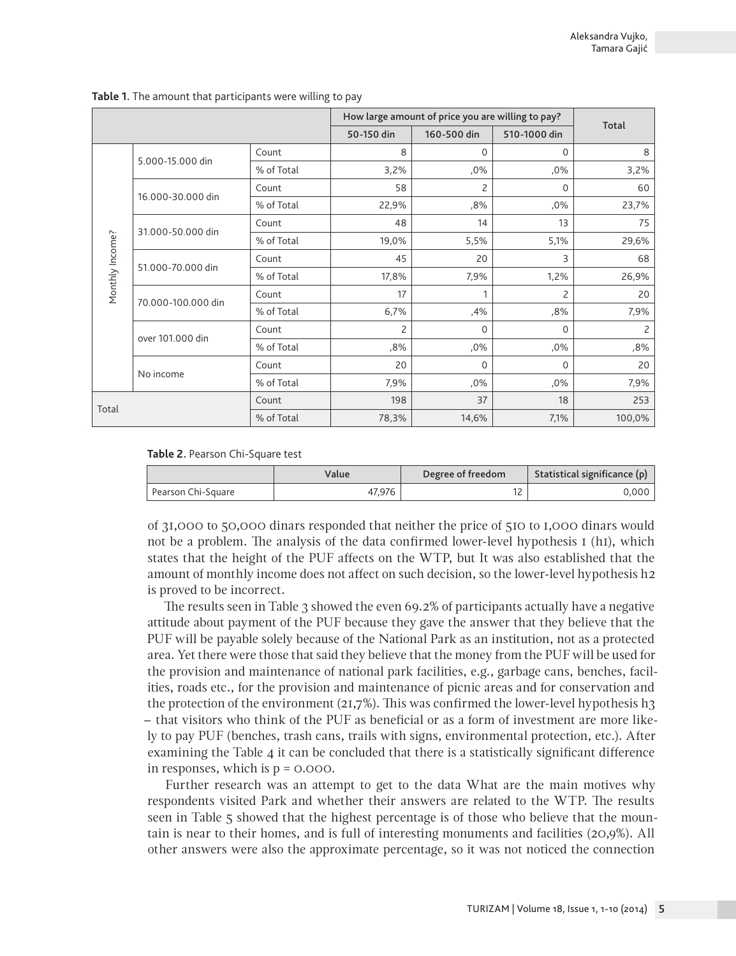|                 |                    |            | How large amount of price you are willing to pay? |             |              |        |
|-----------------|--------------------|------------|---------------------------------------------------|-------------|--------------|--------|
|                 |                    |            | 50-150 din                                        | 160-500 din | 510-1000 din | Total  |
|                 | 5.000-15.000 din   | Count      | 8                                                 | 0           | $\Omega$     | 8      |
|                 |                    | % of Total | 3,2%                                              | ,0%         | ,0%          | 3,2%   |
|                 | 16.000-30.000 din  | Count      | 58                                                | 2           | $\Omega$     | 60     |
|                 |                    | % of Total | 22,9%                                             | ,8%         | ,0%          | 23,7%  |
|                 |                    | Count      | 48                                                | 14          | 13           | 75     |
| Monthly Income? | 31.000-50.000 din  | % of Total | 19,0%                                             | 5,5%        | 5,1%         | 29,6%  |
|                 | 51.000-70.000 din  | Count      | 45                                                | 20          | 3            | 68     |
|                 |                    | % of Total | 17,8%                                             | 7,9%        | 1,2%         | 26,9%  |
|                 | 70.000-100.000 din | Count      | 17                                                | 1           | 2            | 20     |
|                 |                    | % of Total | 6,7%                                              | ,4%         | ,8%          | 7,9%   |
|                 | over 101.000 din   | Count      | 2                                                 | 0           | $\Omega$     | 2      |
|                 |                    | % of Total | ,8%                                               | ,0%         | ,0%          | ,8%    |
|                 | No income          | Count      | 20                                                | 0           | $\Omega$     | 20     |
|                 |                    | % of Total | 7,9%                                              | ,0%         | ,0%          | 7,9%   |
|                 |                    | Count      | 198                                               | 37          | 18           | 253    |
| Total           |                    | % of Total | 78,3%                                             | 14,6%       | 7,1%         | 100,0% |

**Table 1.** The amount that participants were willing to pay

**Table 2.** Pearson Chi-Square test

|                    | Value  | Degree of freedom | Statistical significance (p) |
|--------------------|--------|-------------------|------------------------------|
| Pearson Chi-Square | 47.976 | . .               | 0.000                        |

of 31,000 to 50,000 dinars responded that neither the price of 510 to 1,000 dinars would not be a problem. The analysis of the data confirmed lower-level hypothesis  $I(hI)$ , which states that the height of the PUF affects on the WTP, but It was also established that the amount of monthly income does not affect on such decision, so the lower-level hypothesis h2 is proved to be incorrect.

The results seen in Table 3 showed the even 69.2% of participants actually have a negative attitude about payment of the PUF because they gave the answer that they believe that the PUF will be payable solely because of the National Park as an institution, not as a protected area. Yet there were those that said they believe that the money from the PUF will be used for the provision and maintenance of national park facilities, e.g., garbage cans, benches, facilities, roads etc., for the provision and maintenance of picnic areas and for conservation and the protection of the environment  $(21,7\%)$ . This was confirmed the lower-level hypothesis h3 – that visitors who think of the PUF as beneficial or as a form of investment are more likely to pay PUF (benches, trash cans, trails with signs, environmental protection, etc.). After examining the Table 4 it can be concluded that there is a statistically significant difference in responses, which is p = 0.000.

Further research was an attempt to get to the data What are the main motives why respondents visited Park and whether their answers are related to the WTP. The results seen in Table 5 showed that the highest percentage is of those who believe that the mountain is near to their homes, and is full of interesting monuments and facilities (20,9%). All other answers were also the approximate percentage, so it was not noticed the connection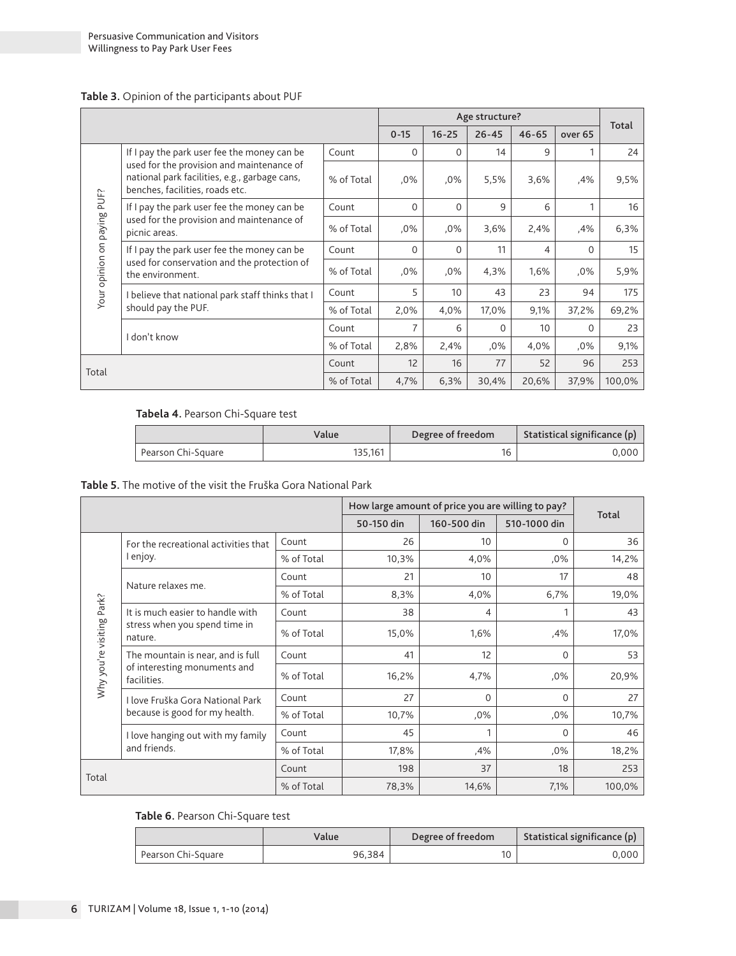#### **Table 3.** Opinion of the participants about PUF

|                             |                                                                                                                               | Age structure? |          |           |           |           |          |        |
|-----------------------------|-------------------------------------------------------------------------------------------------------------------------------|----------------|----------|-----------|-----------|-----------|----------|--------|
|                             |                                                                                                                               |                | $0 - 15$ | $16 - 25$ | $26 - 45$ | $46 - 65$ | over 65  | Total  |
|                             | If I pay the park user fee the money can be                                                                                   | Count          | $\Omega$ | 0         | 14        | 9         |          | 24     |
|                             | used for the provision and maintenance of<br>national park facilities, e.g., garbage cans,<br>benches, facilities, roads etc. | % of Total     | $.0\%$   | .0%       | 5,5%      | 3,6%      | ,4%      | 9,5%   |
|                             | If I pay the park user fee the money can be                                                                                   | Count          | $\Omega$ | 0         | 9         | 6         | 1        | 16     |
| Your opinion on paying PUF? | used for the provision and maintenance of<br>picnic areas.                                                                    | % of Total     | $.0\%$   | .0%       | 3,6%      | 2,4%      | ,4%      | 6,3%   |
|                             | If I pay the park user fee the money can be                                                                                   | Count          | $\Omega$ | 0         | 11        | 4         | 0        | 15     |
|                             | used for conservation and the protection of<br>the environment.                                                               | % of Total     | ,0%      | .0%       | 4,3%      | 1,6%      | .0%      | 5,9%   |
|                             | believe that national park staff thinks that I                                                                                | Count          | 5        | 10        | 43        | 23        | 94       | 175    |
|                             | should pay the PUF.                                                                                                           | % of Total     | 2,0%     | 4,0%      | 17,0%     | 9,1%      | 37,2%    | 69,2%  |
|                             | I don't know                                                                                                                  | Count          | 7        | 6         | $\Omega$  | 10        | $\Omega$ | 23     |
|                             |                                                                                                                               | % of Total     | 2,8%     | 2,4%      | .0%       | 4,0%      | ,0%      | 9,1%   |
| Total                       | 12<br>16<br>77<br>Count                                                                                                       |                | 52       | 96        | 253       |           |          |        |
|                             |                                                                                                                               | % of Total     | 4,7%     | 6,3%      | 30,4%     | 20,6%     | 37,9%    | 100,0% |

#### **Tabela 4.** Pearson Chi-Square test

|                      | Value   | Degree of freedom | Statistical significance (p) |  |
|----------------------|---------|-------------------|------------------------------|--|
| ' Pearson Chi-Square | 135.161 |                   | $0.000$                      |  |

#### **Table 5.** The motive of the visit the Fruška Gora National Park

|                           |                                                                              | How large amount of price you are willing to pay? |            |             |              |        |
|---------------------------|------------------------------------------------------------------------------|---------------------------------------------------|------------|-------------|--------------|--------|
|                           |                                                                              |                                                   | 50-150 din | 160-500 din | 510-1000 din | Total  |
|                           | For the recreational activities that                                         | Count                                             | 26         | 10          | $\Omega$     | 36     |
|                           | I enjoy.                                                                     | % of Total                                        | 10,3%      | 4,0%        | ,0%          | 14,2%  |
|                           | Nature relaxes me.                                                           | Count                                             | 21         | 10          | 17           | 48     |
|                           |                                                                              | % of Total                                        | 8,3%       | 4,0%        | 6,7%         | 19,0%  |
|                           | It is much easier to handle with<br>stress when you spend time in<br>nature. | Count                                             | 38         | 4           |              | 43     |
|                           |                                                                              | % of Total                                        | 15,0%      | 1,6%        | ,4%          | 17,0%  |
|                           | The mountain is near, and is full                                            | Count                                             | 41         | 12          | $\Omega$     | 53     |
| Why you're visiting Park? | of interesting monuments and<br>facilities.                                  | % of Total                                        | 16,2%      | 4,7%        | ,0%          | 20,9%  |
|                           | I love Fruška Gora National Park                                             | Count                                             | 27         | 0           | $\Omega$     | 27     |
|                           | because is good for my health.                                               | % of Total                                        | 10,7%      | ,0%         | ,0%          | 10,7%  |
|                           | I love hanging out with my family                                            | Count                                             | 45         | 1           | $\Omega$     | 46     |
|                           | and friends.                                                                 | % of Total                                        | 17,8%      | ,4%         | $.0\%$       | 18,2%  |
| Total                     |                                                                              | Count                                             | 198        | 37          | 18           | 253    |
|                           |                                                                              | % of Total                                        | 78,3%      | 14,6%       | 7,1%         | 100,0% |

#### **Table 6.** Pearson Chi-Square test

|                    | Value  |                | Statistical significance (p) |  |
|--------------------|--------|----------------|------------------------------|--|
| Pearson Chi-Square | 96.384 | 1 <sub>0</sub> | 0.000                        |  |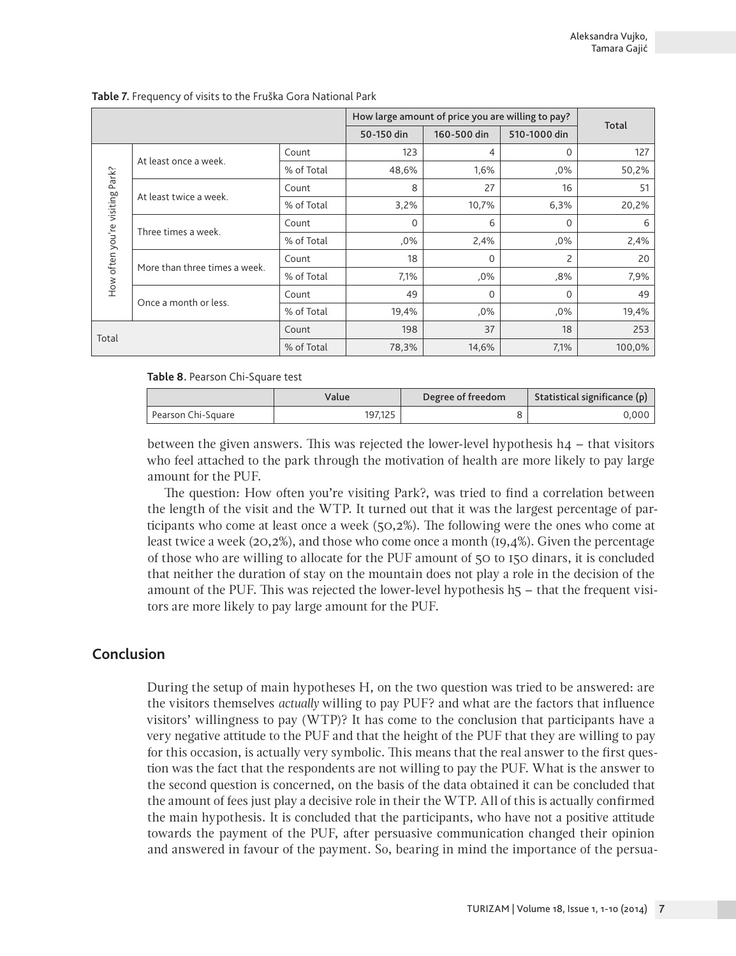|                           |                               | How large amount of price you are willing to pay? |            |             |              |        |
|---------------------------|-------------------------------|---------------------------------------------------|------------|-------------|--------------|--------|
|                           |                               |                                                   | 50-150 din | 160-500 din | 510-1000 din | Total  |
|                           | At least once a week.         | Count                                             | 123        | 4           | 0            | 127    |
| Park?                     |                               | % of Total                                        | 48,6%      | 1,6%        | $,0\%$       | 50,2%  |
|                           | At least twice a week.        | Count                                             | 8          | 27          | 16           | 51     |
|                           |                               | % of Total                                        | 3,2%       | 10,7%       | 6,3%         | 20,2%  |
|                           |                               | Count                                             | 0          | 6           | $\Omega$     | 6      |
| How often you're visiting | Three times a week.           | % of Total                                        | ,0%        | 2,4%        | ,0%          | 2,4%   |
|                           | More than three times a week. | Count                                             | 18         | 0           | 2            | 20     |
|                           |                               | % of Total                                        | 7,1%       | ,0%         | ,8%          | 7,9%   |
|                           | Once a month or less.         | Count                                             | 49         | $\Omega$    | 0            | 49     |
|                           |                               | % of Total                                        | 19,4%      | ,0%         | ,0%          | 19,4%  |
| Total                     |                               | Count                                             | 198        | 37          | 18           | 253    |
|                           |                               | % of Total                                        | 78,3%      | 14,6%       | 7,1%         | 100,0% |

**Table 7.** Frequency of visits to the Fruška Gora National Park

**Table 8.** Pearson Chi-Square test

|                    | Value   | Degree of freedom | Statistical significance $(p)$ |  |
|--------------------|---------|-------------------|--------------------------------|--|
| Pearson Chi-Square | 197.125 |                   | 0.000 l                        |  |

between the given answers. This was rejected the lower-level hypothesis  $h4 - th$ at visitors who feel attached to the park through the motivation of health are more likely to pay large amount for the PUF.

The question: How often you're visiting Park?, was tried to find a correlation between the length of the visit and the WTP. It turned out that it was the largest percentage of participants who come at least once a week (50,2%). The following were the ones who come at least twice a week (20,2%), and those who come once a month (19,4%). Given the percentage of those who are willing to allocate for the PUF amount of 50 to 150 dinars, it is concluded that neither the duration of stay on the mountain does not play a role in the decision of the amount of the PUF. This was rejected the lower-level hypothesis h5 – that the frequent visitors are more likely to pay large amount for the PUF.

## **Conclusion**

During the setup of main hypotheses H, on the two question was tried to be answered: are the visitors themselves *actually* willing to pay PUF? and what are the factors that influence visitors' willingness to pay (WTP)? It has come to the conclusion that participants have a very negative attitude to the PUF and that the height of the PUF that they are willing to pay for this occasion, is actually very symbolic. This means that the real answer to the first question was the fact that the respondents are not willing to pay the PUF. What is the answer to the second question is concerned, on the basis of the data obtained it can be concluded that the amount of fees just play a decisive role in their the WTP. All of this is actually confirmed the main hypothesis. It is concluded that the participants, who have not a positive attitude towards the payment of the PUF, after persuasive communication changed their opinion and answered in favour of the payment. So, bearing in mind the importance of the persua-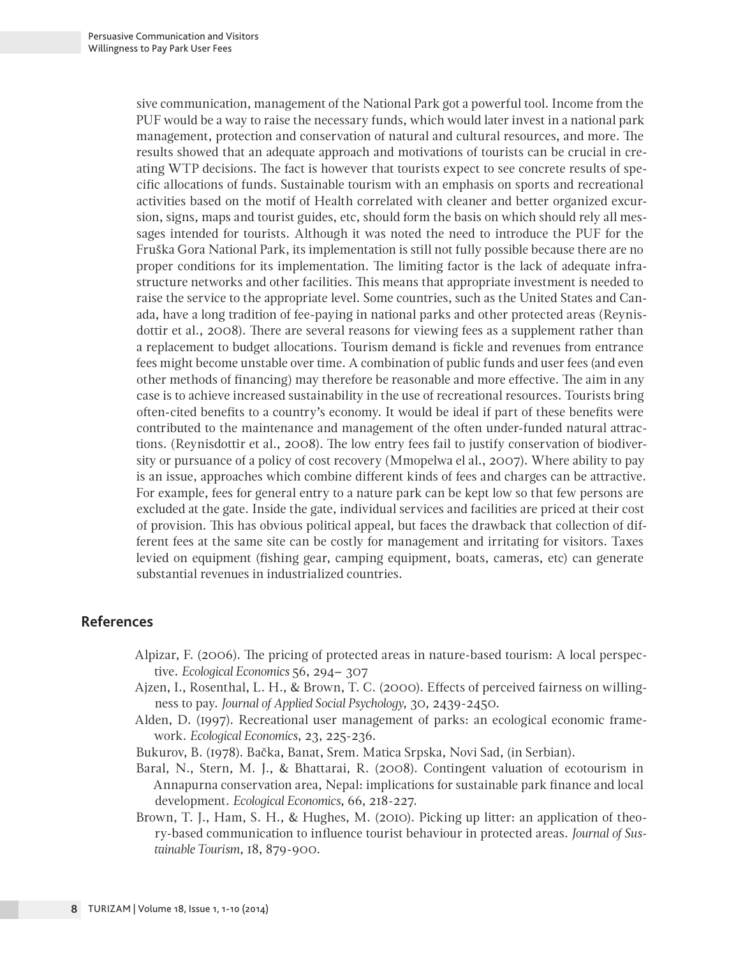sive communication, management of the National Park got a powerful tool. Income from the PUF would be a way to raise the necessary funds, which would later invest in a national park management, protection and conservation of natural and cultural resources, and more. The results showed that an adequate approach and motivations of tourists can be crucial in creating WTP decisions. The fact is however that tourists expect to see concrete results of specific allocations of funds. Sustainable tourism with an emphasis on sports and recreational activities based on the motif of Health correlated with cleaner and better organized excursion, signs, maps and tourist guides, etc, should form the basis on which should rely all messages intended for tourists. Although it was noted the need to introduce the PUF for the Fruška Gora National Park, its implementation is still not fully possible because there are no proper conditions for its implementation. The limiting factor is the lack of adequate infrastructure networks and other facilities. This means that appropriate investment is needed to raise the service to the appropriate level. Some countries, such as the United States and Canada, have a long tradition of fee-paying in national parks and other protected areas (Reynisdottir et al., 2008). There are several reasons for viewing fees as a supplement rather than a replacement to budget allocations. Tourism demand is fickle and revenues from entrance fees might become unstable over time. A combination of public funds and user fees (and even other methods of financing) may therefore be reasonable and more effective. The aim in any case is to achieve increased sustainability in the use of recreational resources. Tourists bring often-cited benefits to a country's economy. It would be ideal if part of these benefits were contributed to the maintenance and management of the often under-funded natural attractions. (Reynisdottir et al., 2008). The low entry fees fail to justify conservation of biodiversity or pursuance of a policy of cost recovery (Mmopelwa el al., 2007). Where ability to pay is an issue, approaches which combine different kinds of fees and charges can be attractive. For example, fees for general entry to a nature park can be kept low so that few persons are excluded at the gate. Inside the gate, individual services and facilities are priced at their cost of provision. This has obvious political appeal, but faces the drawback that collection of different fees at the same site can be costly for management and irritating for visitors. Taxes levied on equipment (fishing gear, camping equipment, boats, cameras, etc) can generate substantial revenues in industrialized countries.

## **References**

- Alpizar, F. (2006). The pricing of protected areas in nature-based tourism: A local perspective. *Ecological Economics* 56, 294– 307
- Ajzen, I., Rosenthal, L. H., & Brown, T. C. (2000). Effects of perceived fairness on willingness to pay. *Journal of Applied Social Psychology*, 30, 2439-2450.
- Alden, D. (1997). Recreational user management of parks: an ecological economic framework. *Ecological Economics*, 23, 225-236.

Bukurov, B. (1978). Bačka, Banat, Srem. Matica Srpska, Novi Sad, (in Serbian).

- Baral, N., Stern, M. J., & Bhattarai, R. (2008). Contingent valuation of ecotourism in Annapurna conservation area, Nepal: implications for sustainable park finance and local development. *Ecological Economics*, 66, 218-227.
- Brown, T. J., Ham, S. H., & Hughes, M. (2010). Picking up litter: an application of theory-based communication to influence tourist behaviour in protected areas. *Journal of Sustainable Tourism*, 18, 879-900.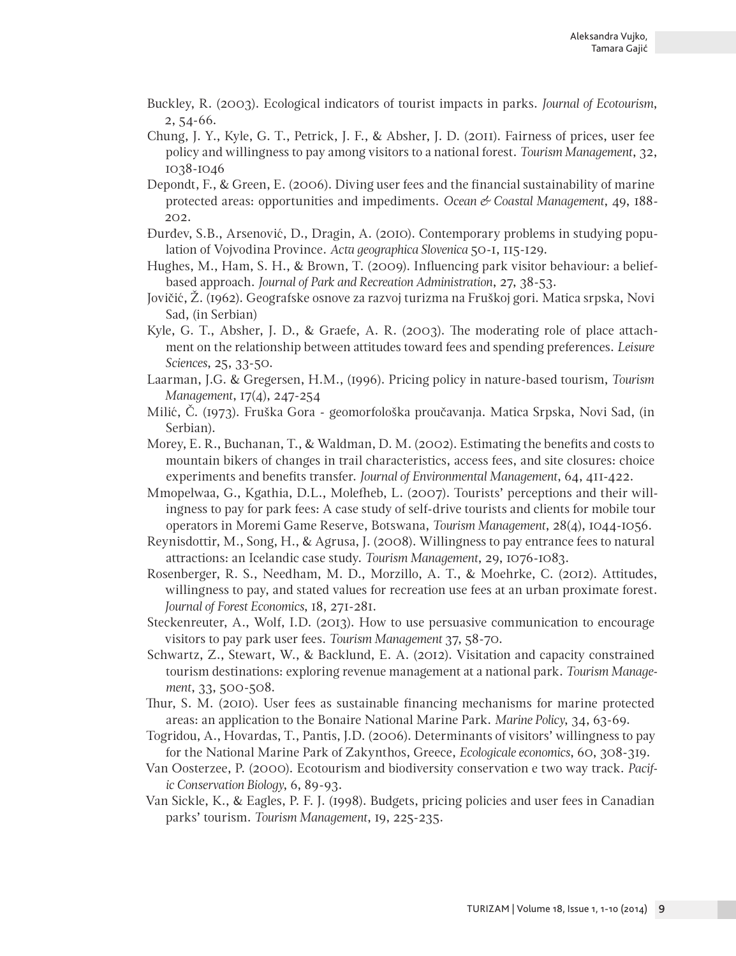- Buckley, R. (2003). Ecological indicators of tourist impacts in parks. *Journal of Ecotourism*, 2, 54-66.
- Chung, J. Y., Kyle, G. T., Petrick, J. F., & Absher, J. D. (2011). Fairness of prices, user fee policy and willingness to pay among visitors to a national forest. *Tourism Management*, 32, 1038-1046
- Depondt, F., & Green, E. (2006). Diving user fees and the financial sustainability of marine protected areas: opportunities and impediments. *Ocean & Coastal Management*, 49, 188- 202.
- Đurđev, S.B., Arsenović, D., Dragin, A. (2010). Contemporary problems in studying population of Vojvodina Province. *Acta geographica Slovenica* 50-1, 115-129.
- Hughes, M., Ham, S. H., & Brown, T. (2009). Influencing park visitor behaviour: a beliefbased approach. *Journal of Park and Recreation Administration*, 27, 38-53.
- Jovičić, Ž. (1962). Geografske osnove za razvoj turizma na Fruškoj gori. Matica srpska, Novi Sad, (in Serbian)
- Kyle, G. T., Absher, J. D., & Graefe, A. R. (2003). The moderating role of place attachment on the relationship between attitudes toward fees and spending preferences. *Leisure Sciences*, 25, 33-50.
- Laarman, J.G. & Gregersen, H.M., (1996). Pricing policy in nature-based tourism, *Tourism Management*, 17(4), 247-254
- Milić, Č. (1973). Fruška Gora geomorfološka proučavanja. Matica Srpska, Novi Sad, (in Serbian).
- Morey, E. R., Buchanan, T., & Waldman, D. M. (2002). Estimating the benefits and costs to mountain bikers of changes in trail characteristics, access fees, and site closures: choice experiments and benefits transfer. *Journal of Environmental Management*, 64, 411-422.
- Mmopelwaa, G., Kgathia, D.L., Molefheb, L. (2007). Tourists' perceptions and their willingness to pay for park fees: A case study of self-drive tourists and clients for mobile tour operators in Moremi Game Reserve, Botswana, *Tourism Management*, 28(4), 1044-1056.
- Reynisdottir, M., Song, H., & Agrusa, J. (2008). Willingness to pay entrance fees to natural attractions: an Icelandic case study. *Tourism Management*, 29, 1076-1083.
- Rosenberger, R. S., Needham, M. D., Morzillo, A. T., & Moehrke, C. (2012). Attitudes, willingness to pay, and stated values for recreation use fees at an urban proximate forest. *Journal of Forest Economics*, 18, 271-281.
- Steckenreuter, A., Wolf, I.D. (2013). How to use persuasive communication to encourage visitors to pay park user fees. *Tourism Management* 37, 58-70.
- Schwartz, Z., Stewart, W., & Backlund, E. A. (2012). Visitation and capacity constrained tourism destinations: exploring revenue management at a national park. *Tourism Management*, 33, 500-508.
- Thur, S. M. (2010). User fees as sustainable financing mechanisms for marine protected areas: an application to the Bonaire National Marine Park. *Marine Policy*, 34, 63-69.
- Togridou, A., Hovardas, T., Pantis, J.D. (2006). Determinants of visitors' willingness to pay for the National Marine Park of Zakynthos, Greece, *Ecologicale economics*, 60, 308-319.
- Van Oosterzee, P. (2000). Ecotourism and biodiversity conservation e two way track. *Pacific Conservation Biology*, 6, 89-93.
- Van Sickle, K., & Eagles, P. F. J. (1998). Budgets, pricing policies and user fees in Canadian parks' tourism. *Tourism Management*, 19, 225-235.